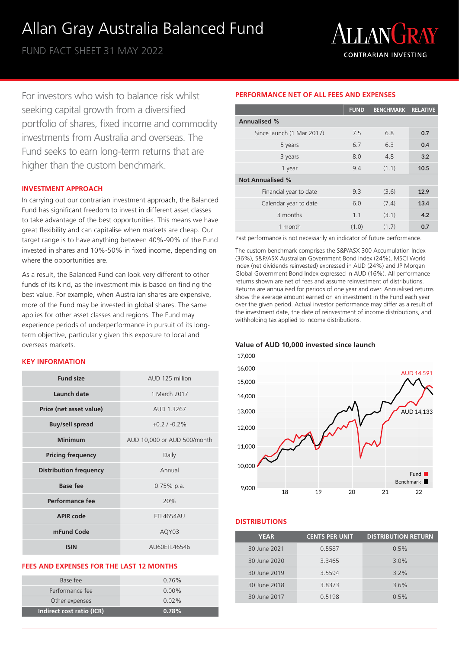# Allan Gray Australia Balanced Fund

FUND FACT SHEET 31 MAY 2022



For investors who wish to balance risk whilst seeking capital growth from a diversified portfolio of shares, fixed income and commodity investments from Australia and overseas. The Fund seeks to earn long-term returns that are higher than the custom benchmark.

### **INVESTMENT APPROACH**

In carrying out our contrarian investment approach, the Balanced Fund has significant freedom to invest in different asset classes to take advantage of the best opportunities. This means we have great flexibility and can capitalise when markets are cheap. Our target range is to have anything between 40%-90% of the Fund invested in shares and 10%-50% in fixed income, depending on where the opportunities are.

As a result, the Balanced Fund can look very different to other funds of its kind, as the investment mix is based on finding the best value. For example, when Australian shares are expensive, more of the Fund may be invested in global shares. The same applies for other asset classes and regions. The Fund may experience periods of underperformance in pursuit of its longterm objective, particularly given this exposure to local and overseas markets.

### **KEY INFORMATION**

| <b>Fund size</b>              | AUD 125 million             |  |  |
|-------------------------------|-----------------------------|--|--|
| Launch date                   | 1 March 2017                |  |  |
| Price (net asset value)       | AUD 1.3267                  |  |  |
| <b>Buy/sell spread</b>        | $+0.2/ -0.2%$               |  |  |
| <b>Minimum</b>                | AUD 10,000 or AUD 500/month |  |  |
| <b>Pricing frequency</b>      | Daily                       |  |  |
| <b>Distribution frequency</b> | Annual                      |  |  |
| <b>Base fee</b>               | $0.75\%$ p.a.               |  |  |
| Performance fee               | 20%                         |  |  |
| <b>APIR code</b>              | <b>FTI 4654AU</b>           |  |  |
| mFund Code                    | AQY03                       |  |  |
| <b>ISIN</b>                   | AU60ETL46546                |  |  |

### **FEES AND EXPENSES FOR THE LAST 12 MONTHS**

| Base fee                  | $0.76\%$ |
|---------------------------|----------|
| Performance fee           | $0.00\%$ |
| Other expenses            | $0.02\%$ |
| Indirect cost ratio (ICR) | 0.78%    |

# **PERFORMANCE NET OF ALL FEES AND EXPENSES**

|                           | <b>FUND</b> | <b>BENCHMARK RELATIVE</b> |      |
|---------------------------|-------------|---------------------------|------|
| <b>Annualised %</b>       |             |                           |      |
| Since launch (1 Mar 2017) | 7.5         | 6.8                       | 0.7  |
| 5 years                   | 6.7         | 6.3                       | 0.4  |
| 3 years                   | 8.0         | 4.8                       | 3.2  |
| 1 year                    | 9.4         | (1.1)                     | 10.5 |
| <b>Not Annualised %</b>   |             |                           |      |
| Financial year to date    | 9.3         | (3.6)                     | 12.9 |
| Calendar year to date     | 6.0         | (7.4)                     | 13.4 |
| 3 months                  | 1.1         | (3.1)                     | 4.2  |
| 1 month                   | (1.0)       | (1.7)                     | 0.7  |

Past performance is not necessarily an indicator of future performance.

The custom benchmark comprises the S&P/ASX 300 Accumulation Index (36%), S&P/ASX Australian Government Bond Index (24%), MSCI World Index (net dividends reinvested) expressed in AUD (24%) and JP Morgan Global Government Bond Index expressed in AUD (16%). All performance returns shown are net of fees and assume reinvestment of distributions. Returns are annualised for periods of one year and over. Annualised returns show the average amount earned on an investment in the Fund each year over the given period. Actual investor performance may differ as a result of the investment date, the date of reinvestment of income distributions, and withholding tax applied to income distributions.

### **Value of AUD 10,000 invested since launch**



## **DISTRIBUTIONS**

| <b>YEAR</b>  | <b>CENTS PER UNIT</b> | <b>DISTRIBUTION RETURN</b> |
|--------------|-----------------------|----------------------------|
| 30 June 2021 | 0.5587                | 0.5%                       |
| 30 June 2020 | 3.3465                | 3.0%                       |
| 30 June 2019 | 3.5594                | $3.2\%$                    |
| 30 June 2018 | 3.8373                | 3.6%                       |
| 30 June 2017 | 0.5198                | 0.5%                       |